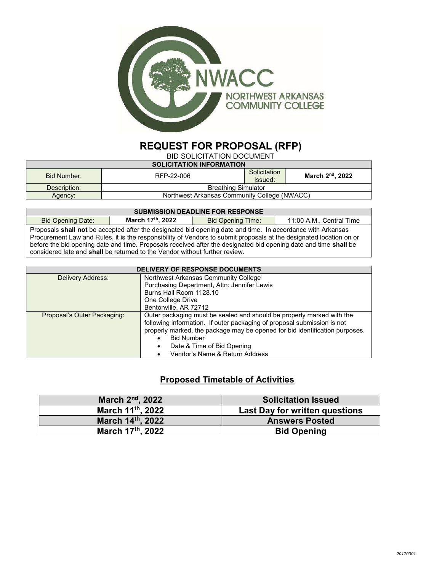

## REQUEST FOR PROPOSAL (RFP)

BID SOLICITATION DOCUMENT

| <b>SOLICITATION INFORMATION</b>              |              |                              |  |
|----------------------------------------------|--------------|------------------------------|--|
|                                              | Solicitation | March 2 <sup>nd</sup> , 2022 |  |
|                                              | issued:      |                              |  |
| <b>Breathing Simulator</b>                   |              |                              |  |
| Northwest Arkansas Community College (NWACC) |              |                              |  |
|                                              | RFP-22-006   |                              |  |

| <b>SUBMISSION DEADLINE FOR RESPONSE</b>                                                                             |                  |                          |                          |  |
|---------------------------------------------------------------------------------------------------------------------|------------------|--------------------------|--------------------------|--|
| <b>Bid Opening Date:</b>                                                                                            | March 17th, 2022 | <b>Bid Opening Time:</b> | 11:00 A.M., Central Time |  |
| Proposals shall not be accepted after the designated bid opening date and time. In accordance with Arkansas         |                  |                          |                          |  |
| Procurement Law and Rules, it is the responsibility of Vendors to submit proposals at the designated location on or |                  |                          |                          |  |
| before the bid opening date and time. Proposals received after the designated bid opening date and time shall be    |                  |                          |                          |  |
| considered late and <b>shall</b> be returned to the Vendor without further review.                                  |                  |                          |                          |  |

| <b>DELIVERY OF RESPONSE DOCUMENTS</b> |                                                                                                                                                                                                                                                      |  |
|---------------------------------------|------------------------------------------------------------------------------------------------------------------------------------------------------------------------------------------------------------------------------------------------------|--|
| Delivery Address:                     | Northwest Arkansas Community College                                                                                                                                                                                                                 |  |
|                                       | Purchasing Department, Attn: Jennifer Lewis                                                                                                                                                                                                          |  |
|                                       | Burns Hall Room 1128.10                                                                                                                                                                                                                              |  |
|                                       | One College Drive                                                                                                                                                                                                                                    |  |
|                                       | Bentonville, AR 72712                                                                                                                                                                                                                                |  |
| Proposal's Outer Packaging:           | Outer packaging must be sealed and should be properly marked with the<br>following information. If outer packaging of proposal submission is not<br>properly marked, the package may be opened for bid identification purposes.<br><b>Bid Number</b> |  |
|                                       | Date & Time of Bid Opening                                                                                                                                                                                                                           |  |
|                                       | Vendor's Name & Return Address                                                                                                                                                                                                                       |  |

## Proposed Timetable of Activities

| March 2 <sup>nd</sup> , 2022 | <b>Solicitation Issued</b>     |
|------------------------------|--------------------------------|
| March 11th, 2022             | Last Day for written questions |
| March 14th, 2022             | <b>Answers Posted</b>          |
| March 17th, 2022             | <b>Bid Opening</b>             |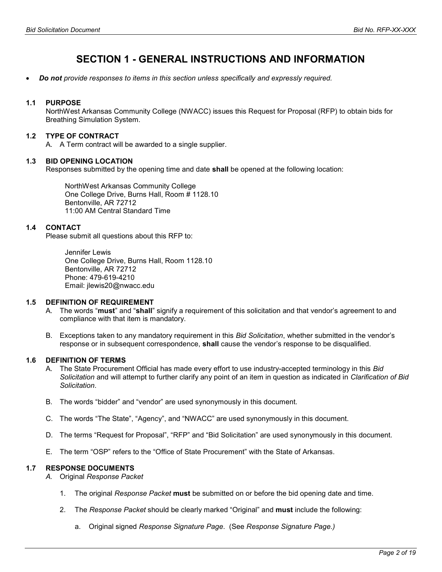## SECTION 1 - GENERAL INSTRUCTIONS AND INFORMATION

Do not provide responses to items in this section unless specifically and expressly required.

#### 1.1 PURPOSE

NorthWest Arkansas Community College (NWACC) issues this Request for Proposal (RFP) to obtain bids for Breathing Simulation System.

#### 1.2 TYPE OF CONTRACT

A. A Term contract will be awarded to a single supplier.

#### 1.3 BID OPENING LOCATION

Responses submitted by the opening time and date **shall** be opened at the following location:

NorthWest Arkansas Community College One College Drive, Burns Hall, Room # 1128.10 Bentonville, AR 72712 11:00 AM Central Standard Time

#### 1.4 CONTACT

Please submit all questions about this RFP to:

Jennifer Lewis One College Drive, Burns Hall, Room 1128.10 Bentonville, AR 72712 Phone: 479-619-4210 Email: jlewis20@nwacc.edu

#### 1.5 DEFINITION OF REQUIREMENT

- A. The words "must" and "shall" signify a requirement of this solicitation and that vendor's agreement to and compliance with that item is mandatory.
- B. Exceptions taken to any mandatory requirement in this Bid Solicitation, whether submitted in the vendor's response or in subsequent correspondence, **shall** cause the vendor's response to be disqualified.

#### 1.6 DEFINITION OF TERMS

- A. The State Procurement Official has made every effort to use industry-accepted terminology in this Bid Solicitation and will attempt to further clarify any point of an item in question as indicated in Clarification of Bid Solicitation.
- B. The words "bidder" and "vendor" are used synonymously in this document.
- C. The words "The State", "Agency", and "NWACC" are used synonymously in this document.
- D. The terms "Request for Proposal", "RFP" and "Bid Solicitation" are used synonymously in this document.
- E. The term "OSP" refers to the "Office of State Procurement" with the State of Arkansas.

#### 1.7 RESPONSE DOCUMENTS

- A. Original Response Packet
	- 1. The original Response Packet must be submitted on or before the bid opening date and time.
	- 2. The Response Packet should be clearly marked "Original" and **must** include the following:
		- a. Original signed Response Signature Page. (See Response Signature Page.)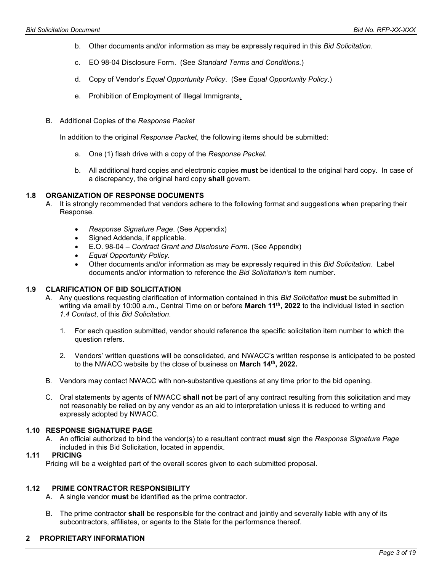- b. Other documents and/or information as may be expressly required in this *Bid Solicitation*.
- c. EO 98-04 Disclosure Form. (See Standard Terms and Conditions.)
- d. Copy of Vendor's Equal Opportunity Policy. (See Equal Opportunity Policy.)
- e. Prohibition of Employment of Illegal Immigrants.
- B. Additional Copies of the Response Packet

In addition to the original Response Packet, the following items should be submitted:

- a. One (1) flash drive with a copy of the Response Packet.
- b. All additional hard copies and electronic copies **must** be identical to the original hard copy. In case of a discrepancy, the original hard copy shall govern.

#### 1.8 ORGANIZATION OF RESPONSE DOCUMENTS

- A. It is strongly recommended that vendors adhere to the following format and suggestions when preparing their Response.
	- Response Signature Page. (See Appendix)
	- Signed Addenda, if applicable.
	- E.O. 98-04 Contract Grant and Disclosure Form. (See Appendix)
	- Equal Opportunity Policy.
	- Other documents and/or information as may be expressly required in this Bid Solicitation. Label documents and/or information to reference the Bid Solicitation's item number.

#### 1.9 CLARIFICATION OF BID SOLICITATION

- A. Any questions requesting clarification of information contained in this Bid Solicitation must be submitted in writing via email by 10:00 a.m., Central Time on or before March 11<sup>th</sup>, 2022 to the individual listed in section 1.4 Contact, of this Bid Solicitation.
	- 1. For each question submitted, vendor should reference the specific solicitation item number to which the question refers.
	- 2. Vendors' written questions will be consolidated, and NWACC's written response is anticipated to be posted to the NWACC website by the close of business on March 14th, 2022.
- B. Vendors may contact NWACC with non-substantive questions at any time prior to the bid opening.
- C. Oral statements by agents of NWACC shall not be part of any contract resulting from this solicitation and may not reasonably be relied on by any vendor as an aid to interpretation unless it is reduced to writing and expressly adopted by NWACC.

#### 1.10 RESPONSE SIGNATURE PAGE

A. An official authorized to bind the vendor(s) to a resultant contract must sign the Response Signature Page included in this Bid Solicitation, located in appendix.

#### 1.11 PRICING

Pricing will be a weighted part of the overall scores given to each submitted proposal.

#### 1.12 PRIME CONTRACTOR RESPONSIBILITY

- A. A single vendor **must** be identified as the prime contractor.
- B. The prime contractor **shall** be responsible for the contract and jointly and severally liable with any of its subcontractors, affiliates, or agents to the State for the performance thereof.

#### 2 PROPRIETARY INFORMATION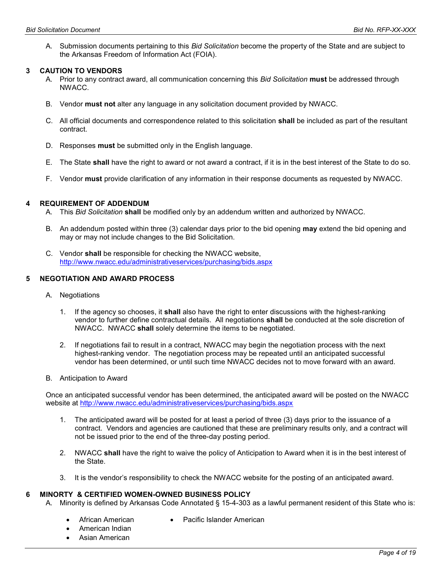A. Submission documents pertaining to this Bid Solicitation become the property of the State and are subject to the Arkansas Freedom of Information Act (FOIA).

#### 3 CAUTION TO VENDORS

- A. Prior to any contract award, all communication concerning this Bid Solicitation must be addressed through NWACC.
- B. Vendor must not alter any language in any solicitation document provided by NWACC.
- C. All official documents and correspondence related to this solicitation shall be included as part of the resultant contract.
- D. Responses must be submitted only in the English language.
- E. The State shall have the right to award or not award a contract, if it is in the best interest of the State to do so.
- F. Vendor must provide clarification of any information in their response documents as requested by NWACC.

#### 4 REQUIREMENT OF ADDENDUM

- A. This Bid Solicitation shall be modified only by an addendum written and authorized by NWACC.
- B. An addendum posted within three (3) calendar days prior to the bid opening **may** extend the bid opening and may or may not include changes to the Bid Solicitation.
- C. Vendor shall be responsible for checking the NWACC website, http://www.nwacc.edu/administrativeservices/purchasing/bids.aspx

#### 5 NEGOTIATION AND AWARD PROCESS

- A. Negotiations
	- 1. If the agency so chooses, it **shall** also have the right to enter discussions with the highest-ranking vendor to further define contractual details. All negotiations shall be conducted at the sole discretion of NWACC. NWACC shall solely determine the items to be negotiated.
	- 2. If negotiations fail to result in a contract, NWACC may begin the negotiation process with the next highest-ranking vendor. The negotiation process may be repeated until an anticipated successful vendor has been determined, or until such time NWACC decides not to move forward with an award.
- B. Anticipation to Award

Once an anticipated successful vendor has been determined, the anticipated award will be posted on the NWACC website at http://www.nwacc.edu/administrativeservices/purchasing/bids.aspx

- 1. The anticipated award will be posted for at least a period of three (3) days prior to the issuance of a contract. Vendors and agencies are cautioned that these are preliminary results only, and a contract will not be issued prior to the end of the three-day posting period.
- 2. NWACC shall have the right to waive the policy of Anticipation to Award when it is in the best interest of the State.
- 3. It is the vendor's responsibility to check the NWACC website for the posting of an anticipated award.

#### 6 MINORTY & CERTIFIED WOMEN-OWNED BUSINESS POLICY

A. Minority is defined by Arkansas Code Annotated § 15-4-303 as a lawful permanent resident of this State who is:

- African American
- Pacific Islander American
- American Indian
- Asian American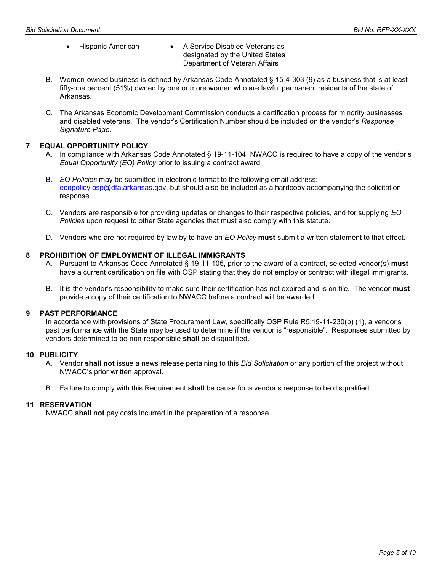#### • Hispanic American • A Service Disabled Veterans as designated by the United States Department of Veteran Affairs

- B. Women-owned business is defined by Arkansas Code Annotated § 15-4-303 (9) as a business that is at least fifty-one percent (51%) owned by one or more women who are lawful permanent residents of the state of Arkansas.
- C. The Arkansas Economic Development Commission conducts a certification process for minority businesses and disabled veterans. The vendor's Certification Number should be included on the vendor's Response Signature Page.

#### 7 EQUAL OPPORTUNITY POLICY

- A. In compliance with Arkansas Code Annotated § 19-11-104, NWACC is required to have a copy of the vendor's Equal Opportunity (EO) Policy prior to issuing a contract award.
- B. EO Policies may be submitted in electronic format to the following email address: eeopolicy.osp@dfa.arkansas.gov, but should also be included as a hardcopy accompanying the solicitation response.
- C. Vendors are responsible for providing updates or changes to their respective policies, and for supplying EO Policies upon request to other State agencies that must also comply with this statute.
- D. Vendors who are not required by law by to have an EO Policy must submit a written statement to that effect.

#### 8 PROHIBITION OF EMPLOYMENT OF ILLEGAL IMMIGRANTS

- A. Pursuant to Arkansas Code Annotated § 19-11-105, prior to the award of a contract, selected vendor(s) must have a current certification on file with OSP stating that they do not employ or contract with illegal immigrants.
- B. It is the vendor's responsibility to make sure their certification has not expired and is on file. The vendor must provide a copy of their certification to NWACC before a contract will be awarded.

#### 9 PAST PERFORMANCE

In accordance with provisions of State Procurement Law, specifically OSP Rule R5:19-11-230(b) (1), a vendor's past performance with the State may be used to determine if the vendor is "responsible". Responses submitted by vendors determined to be non-responsible shall be disqualified.

#### 10 PUBLICITY

- A. Vendor shall not issue a news release pertaining to this *Bid Solicitation* or any portion of the project without NWACC's prior written approval.
- B. Failure to comply with this Requirement **shall** be cause for a vendor's response to be disqualified.

#### 11 RESERVATION

NWACC shall not pay costs incurred in the preparation of a response.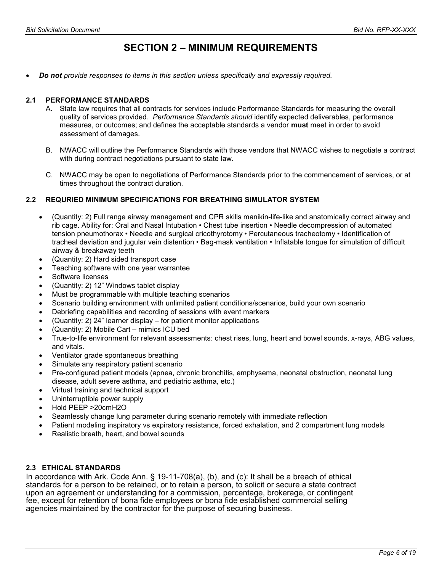## SECTION 2 – MINIMUM REQUIREMENTS

Do not provide responses to items in this section unless specifically and expressly required.

#### 2.1 PERFORMANCE STANDARDS

- A. State law requires that all contracts for services include Performance Standards for measuring the overall quality of services provided. Performance Standards should identify expected deliverables, performance measures, or outcomes; and defines the acceptable standards a vendor must meet in order to avoid assessment of damages.
- B. NWACC will outline the Performance Standards with those vendors that NWACC wishes to negotiate a contract with during contract negotiations pursuant to state law.
- C. NWACC may be open to negotiations of Performance Standards prior to the commencement of services, or at times throughout the contract duration.

#### 2.2 REQURIED MINIMUM SPECIFICATIONS FOR BREATHING SIMULATOR SYSTEM

- (Quantity: 2) Full range airway management and CPR skills manikin-life-like and anatomically correct airway and rib cage. Ability for: Oral and Nasal Intubation • Chest tube insertion • Needle decompression of automated tension pneumothorax • Needle and surgical cricothyrotomy • Percutaneous tracheotomy • Identification of tracheal deviation and jugular vein distention • Bag-mask ventilation • Inflatable tongue for simulation of difficult airway & breakaway teeth
- (Quantity: 2) Hard sided transport case
- Teaching software with one year warrantee
- Software licenses
- (Quantity: 2) 12" Windows tablet display
- Must be programmable with multiple teaching scenarios
- Scenario building environment with unlimited patient conditions/scenarios, build your own scenario
- Debriefing capabilities and recording of sessions with event markers
- (Quantity: 2) 24" learner display for patient monitor applications
- (Quantity: 2) Mobile Cart mimics ICU bed
- True-to-life environment for relevant assessments: chest rises, lung, heart and bowel sounds, x-rays, ABG values, and vitals.
- Ventilator grade spontaneous breathing
- Simulate any respiratory patient scenario
- Pre-configured patient models (apnea, chronic bronchitis, emphysema, neonatal obstruction, neonatal lung disease, adult severe asthma, and pediatric asthma, etc.)
- Virtual training and technical support
- Uninterruptible power supply
- Hold PEEP >20cmH2O
- Seamlessly change lung parameter during scenario remotely with immediate reflection
- Patient modeling inspiratory vs expiratory resistance, forced exhalation, and 2 compartment lung models
- Realistic breath, heart, and bowel sounds

#### 2.3 ETHICAL STANDARDS

In accordance with Ark. Code Ann. § 19-11-708(a), (b), and (c): It shall be a breach of ethical standards for a person to be retained, or to retain a person, to solicit or secure a state contract upon an agreement or understanding for a commission, percentage, brokerage, or contingent fee, except for retention of bona fide employees or bona fide established commercial selling agencies maintained by the contractor for the purpose of securing business.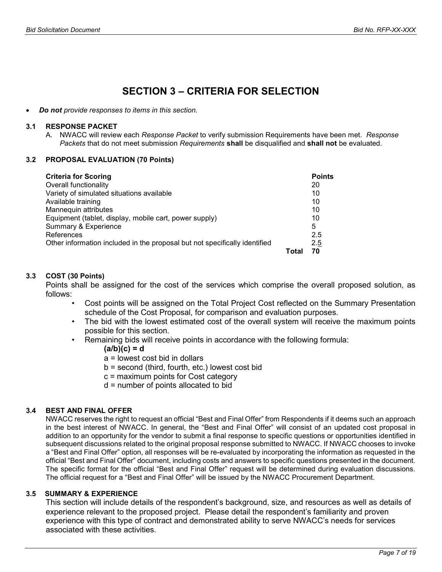## SECTION 3 – CRITERIA FOR SELECTION

Do not provide responses to items in this section.

#### 3.1 RESPONSE PACKET

A. NWACC will review each Response Packet to verify submission Requirements have been met. Response Packets that do not meet submission Requirements shall be disqualified and shall not be evaluated.

#### 3.2 PROPOSAL EVALUATION (70 Points)

| <b>Criteria for Scoring</b>                                                |      | <b>Points</b> |
|----------------------------------------------------------------------------|------|---------------|
| Overall functionality                                                      |      | 20            |
| Variety of simulated situations available                                  |      | 10            |
| Available training                                                         |      | 10            |
| Mannequin attributes                                                       |      | 10            |
| Equipment (tablet, display, mobile cart, power supply)                     |      | 10            |
| Summary & Experience                                                       |      | 5             |
| References                                                                 |      | 2.5           |
| Other information included in the proposal but not specifically identified |      | 2.5           |
|                                                                            | Tota | 70            |

#### 3.3 COST (30 Points)

Points shall be assigned for the cost of the services which comprise the overall proposed solution, as follows:

- Cost points will be assigned on the Total Project Cost reflected on the Summary Presentation schedule of the Cost Proposal, for comparison and evaluation purposes.
- The bid with the lowest estimated cost of the overall system will receive the maximum points possible for this section.
- Remaining bids will receive points in accordance with the following formula:

 $(a/b)(c) = d$ 

- a = lowest cost bid in dollars
- b = second (third, fourth, etc.) lowest cost bid
- c = maximum points for Cost category
- d = number of points allocated to bid

#### 3.4 BEST AND FINAL OFFER

NWACC reserves the right to request an official "Best and Final Offer" from Respondents if it deems such an approach in the best interest of NWACC. In general, the "Best and Final Offer" will consist of an updated cost proposal in addition to an opportunity for the vendor to submit a final response to specific questions or opportunities identified in subsequent discussions related to the original proposal response submitted to NWACC. If NWACC chooses to invoke a "Best and Final Offer" option, all responses will be re-evaluated by incorporating the information as requested in the official "Best and Final Offer" document, including costs and answers to specific questions presented in the document. The specific format for the official "Best and Final Offer" request will be determined during evaluation discussions. The official request for a "Best and Final Offer" will be issued by the NWACC Procurement Department.

#### 3.5 SUMMARY & EXPERIENCE

This section will include details of the respondent's background, size, and resources as well as details of experience relevant to the proposed project. Please detail the respondent's familiarity and proven experience with this type of contract and demonstrated ability to serve NWACC's needs for services associated with these activities.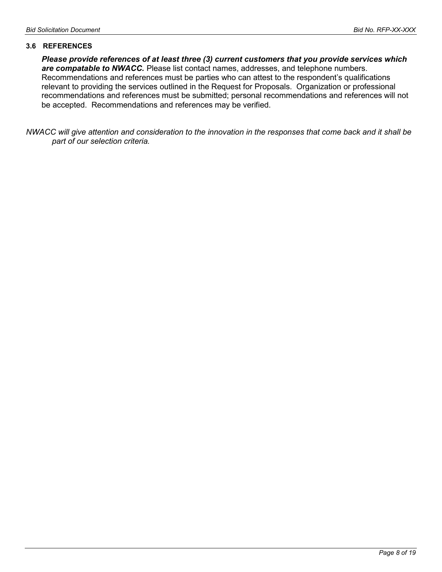#### 3.6 REFERENCES

Please provide references of at least three (3) current customers that you provide services which are compatable to NWACC. Please list contact names, addresses, and telephone numbers. Recommendations and references must be parties who can attest to the respondent's qualifications relevant to providing the services outlined in the Request for Proposals. Organization or professional recommendations and references must be submitted; personal recommendations and references will not be accepted. Recommendations and references may be verified.

NWACC will give attention and consideration to the innovation in the responses that come back and it shall be part of our selection criteria.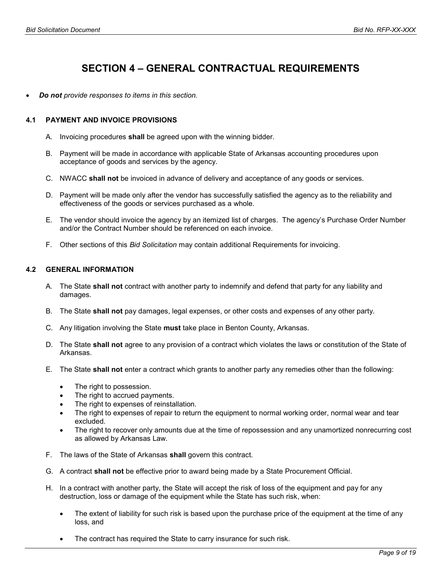## SECTION 4 – GENERAL CONTRACTUAL REQUIREMENTS

Do not provide responses to items in this section.

#### 4.1 PAYMENT AND INVOICE PROVISIONS

- A. Invoicing procedures shall be agreed upon with the winning bidder.
- B. Payment will be made in accordance with applicable State of Arkansas accounting procedures upon acceptance of goods and services by the agency.
- C. NWACC shall not be invoiced in advance of delivery and acceptance of any goods or services.
- D. Payment will be made only after the vendor has successfully satisfied the agency as to the reliability and effectiveness of the goods or services purchased as a whole.
- E. The vendor should invoice the agency by an itemized list of charges. The agency's Purchase Order Number and/or the Contract Number should be referenced on each invoice.
- F. Other sections of this Bid Solicitation may contain additional Requirements for invoicing.

#### 4.2 GENERAL INFORMATION

- A. The State shall not contract with another party to indemnify and defend that party for any liability and damages.
- B. The State **shall not** pay damages, legal expenses, or other costs and expenses of any other party.
- C. Any litigation involving the State must take place in Benton County, Arkansas.
- D. The State shall not agree to any provision of a contract which violates the laws or constitution of the State of Arkansas.
- E. The State shall not enter a contract which grants to another party any remedies other than the following:
	- The right to possession.
	- The right to accrued payments.
	- The right to expenses of reinstallation.
	- The right to expenses of repair to return the equipment to normal working order, normal wear and tear excluded.
	- The right to recover only amounts due at the time of repossession and any unamortized nonrecurring cost as allowed by Arkansas Law.
- F. The laws of the State of Arkansas shall govern this contract.
- G. A contract shall not be effective prior to award being made by a State Procurement Official.
- H. In a contract with another party, the State will accept the risk of loss of the equipment and pay for any destruction, loss or damage of the equipment while the State has such risk, when:
	- The extent of liability for such risk is based upon the purchase price of the equipment at the time of any loss, and
	- The contract has required the State to carry insurance for such risk.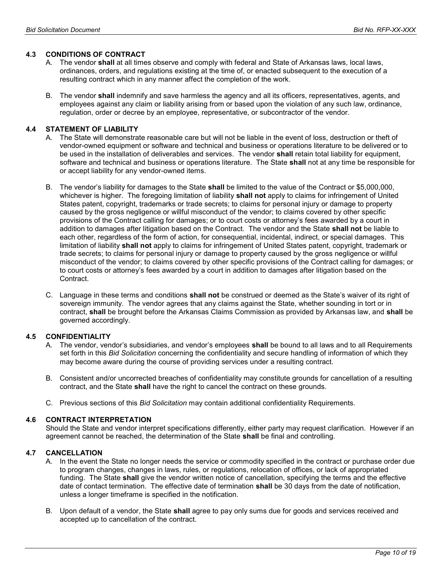#### 4.3 CONDITIONS OF CONTRACT

- A. The vendor **shall** at all times observe and comply with federal and State of Arkansas laws, local laws, ordinances, orders, and regulations existing at the time of, or enacted subsequent to the execution of a resulting contract which in any manner affect the completion of the work.
- B. The vendor shall indemnify and save harmless the agency and all its officers, representatives, agents, and employees against any claim or liability arising from or based upon the violation of any such law, ordinance, regulation, order or decree by an employee, representative, or subcontractor of the vendor.

#### 4.4 STATEMENT OF LIABILITY

- A. The State will demonstrate reasonable care but will not be liable in the event of loss, destruction or theft of vendor-owned equipment or software and technical and business or operations literature to be delivered or to be used in the installation of deliverables and services. The vendor shall retain total liability for equipment, software and technical and business or operations literature. The State shall not at any time be responsible for or accept liability for any vendor-owned items.
- B. The vendor's liability for damages to the State shall be limited to the value of the Contract or \$5,000,000, whichever is higher. The foregoing limitation of liability shall not apply to claims for infringement of United States patent, copyright, trademarks or trade secrets; to claims for personal injury or damage to property caused by the gross negligence or willful misconduct of the vendor; to claims covered by other specific provisions of the Contract calling for damages; or to court costs or attorney's fees awarded by a court in addition to damages after litigation based on the Contract. The vendor and the State shall not be liable to each other, regardless of the form of action, for consequential, incidental, indirect, or special damages. This limitation of liability shall not apply to claims for infringement of United States patent, copyright, trademark or trade secrets; to claims for personal injury or damage to property caused by the gross negligence or willful misconduct of the vendor; to claims covered by other specific provisions of the Contract calling for damages; or to court costs or attorney's fees awarded by a court in addition to damages after litigation based on the Contract.
- C. Language in these terms and conditions shall not be construed or deemed as the State's waiver of its right of sovereign immunity. The vendor agrees that any claims against the State, whether sounding in tort or in contract, shall be brought before the Arkansas Claims Commission as provided by Arkansas law, and shall be governed accordingly.

#### 4.5 CONFIDENTIALITY

- A. The vendor, vendor's subsidiaries, and vendor's employees **shall** be bound to all laws and to all Requirements set forth in this Bid Solicitation concerning the confidentiality and secure handling of information of which they may become aware during the course of providing services under a resulting contract.
- B. Consistent and/or uncorrected breaches of confidentiality may constitute grounds for cancellation of a resulting contract, and the State shall have the right to cancel the contract on these grounds.
- C. Previous sections of this Bid Solicitation may contain additional confidentiality Requirements.

#### 4.6 CONTRACT INTERPRETATION

Should the State and vendor interpret specifications differently, either party may request clarification. However if an agreement cannot be reached, the determination of the State shall be final and controlling.

#### 4.7 CANCELLATION

- A. In the event the State no longer needs the service or commodity specified in the contract or purchase order due to program changes, changes in laws, rules, or regulations, relocation of offices, or lack of appropriated funding. The State shall give the vendor written notice of cancellation, specifying the terms and the effective date of contact termination. The effective date of termination shall be 30 days from the date of notification, unless a longer timeframe is specified in the notification.
- B. Upon default of a vendor, the State shall agree to pay only sums due for goods and services received and accepted up to cancellation of the contract.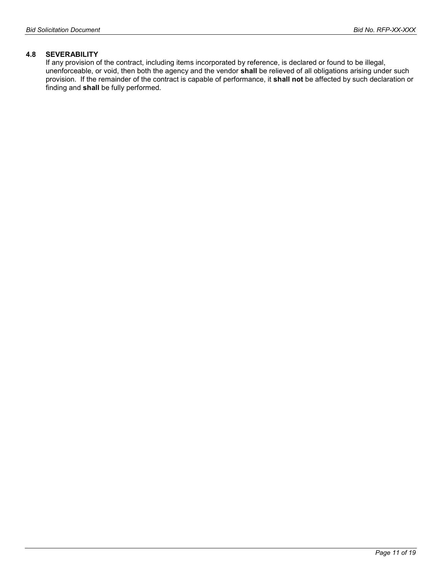#### 4.8 SEVERABILITY

If any provision of the contract, including items incorporated by reference, is declared or found to be illegal, unenforceable, or void, then both the agency and the vendor shall be relieved of all obligations arising under such provision. If the remainder of the contract is capable of performance, it shall not be affected by such declaration or finding and shall be fully performed.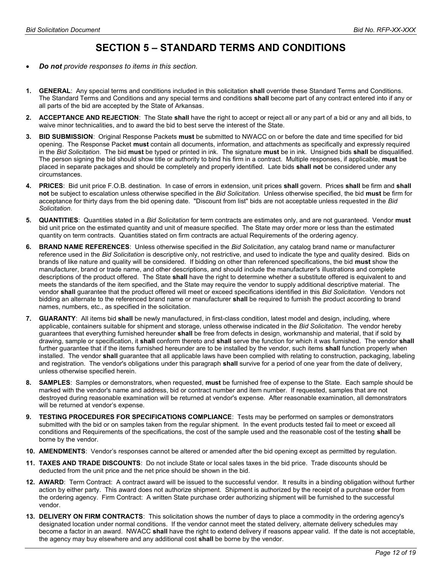## SECTION 5 – STANDARD TERMS AND CONDITIONS

- Do not provide responses to items in this section.
- 1. GENERAL: Any special terms and conditions included in this solicitation shall override these Standard Terms and Conditions. The Standard Terms and Conditions and any special terms and conditions shall become part of any contract entered into if any or all parts of the bid are accepted by the State of Arkansas.
- 2. ACCEPTANCE AND REJECTION: The State shall have the right to accept or reject all or any part of a bid or any and all bids, to waive minor technicalities, and to award the bid to best serve the interest of the State.
- 3. BID SUBMISSION: Original Response Packets must be submitted to NWACC on or before the date and time specified for bid opening. The Response Packet must contain all documents, information, and attachments as specifically and expressly required in the Bid Solicitation. The bid must be typed or printed in ink. The signature must be in ink. Unsigned bids shall be disqualified. The person signing the bid should show title or authority to bind his firm in a contract. Multiple responses, if applicable, must be placed in separate packages and should be completely and properly identified. Late bids shall not be considered under any circumstances.
- 4. PRICES: Bid unit price F.O.B. destination. In case of errors in extension, unit prices shall govern. Prices shall be firm and shall not be subject to escalation unless otherwise specified in the Bid Solicitation. Unless otherwise specified, the bid must be firm for acceptance for thirty days from the bid opening date. "Discount from list" bids are not acceptable unless requested in the Bid Solicitation.
- 5. QUANTITIES: Quantities stated in a Bid Solicitation for term contracts are estimates only, and are not guaranteed. Vendor must bid unit price on the estimated quantity and unit of measure specified. The State may order more or less than the estimated quantity on term contracts. Quantities stated on firm contracts are actual Requirements of the ordering agency.
- 6. BRAND NAME REFERENCES: Unless otherwise specified in the Bid Solicitation, any catalog brand name or manufacturer reference used in the Bid Solicitation is descriptive only, not restrictive, and used to indicate the type and quality desired. Bids on brands of like nature and quality will be considered. If bidding on other than referenced specifications, the bid must show the manufacturer, brand or trade name, and other descriptions, and should include the manufacturer's illustrations and complete descriptions of the product offered. The State shall have the right to determine whether a substitute offered is equivalent to and meets the standards of the item specified, and the State may require the vendor to supply additional descriptive material. The vendor shall guarantee that the product offered will meet or exceed specifications identified in this Bid Solicitation. Vendors not bidding an alternate to the referenced brand name or manufacturer shall be required to furnish the product according to brand names, numbers, etc., as specified in the solicitation.
- 7. GUARANTY: All items bid shall be newly manufactured, in first-class condition, latest model and design, including, where applicable, containers suitable for shipment and storage, unless otherwise indicated in the Bid Solicitation. The vendor hereby guarantees that everything furnished hereunder shall be free from defects in design, workmanship and material, that if sold by drawing, sample or specification, it shall conform thereto and shall serve the function for which it was furnished. The vendor shall further guarantee that if the items furnished hereunder are to be installed by the vendor, such items shall function properly when installed. The vendor shall guarantee that all applicable laws have been complied with relating to construction, packaging, labeling and registration. The vendor's obligations under this paragraph shall survive for a period of one year from the date of delivery, unless otherwise specified herein.
- 8. SAMPLES: Samples or demonstrators, when requested, must be furnished free of expense to the State. Each sample should be marked with the vendor's name and address, bid or contract number and item number. If requested, samples that are not destroyed during reasonable examination will be returned at vendor's expense. After reasonable examination, all demonstrators will be returned at vendor's expense.
- 9. TESTING PROCEDURES FOR SPECIFICATIONS COMPLIANCE: Tests may be performed on samples or demonstrators submitted with the bid or on samples taken from the regular shipment. In the event products tested fail to meet or exceed all conditions and Requirements of the specifications, the cost of the sample used and the reasonable cost of the testing shall be borne by the vendor.
- 10. AMENDMENTS: Vendor's responses cannot be altered or amended after the bid opening except as permitted by regulation.
- 11. TAXES AND TRADE DISCOUNTS: Do not include State or local sales taxes in the bid price. Trade discounts should be deducted from the unit price and the net price should be shown in the bid.
- 12. AWARD: Term Contract: A contract award will be issued to the successful vendor. It results in a binding obligation without further action by either party. This award does not authorize shipment. Shipment is authorized by the receipt of a purchase order from the ordering agency. Firm Contract: A written State purchase order authorizing shipment will be furnished to the successful vendor.
- 13. DELIVERY ON FIRM CONTRACTS: This solicitation shows the number of days to place a commodity in the ordering agency's designated location under normal conditions. If the vendor cannot meet the stated delivery, alternate delivery schedules may become a factor in an award. NWACC shall have the right to extend delivery if reasons appear valid. If the date is not acceptable, the agency may buy elsewhere and any additional cost **shall** be borne by the vendor.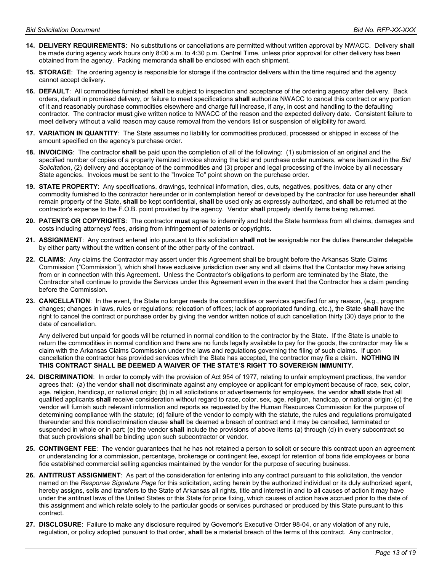- 14. DELIVERY REQUIREMENTS: No substitutions or cancellations are permitted without written approval by NWACC. Delivery shall be made during agency work hours only 8:00 a.m. to 4:30 p.m. Central Time, unless prior approval for other delivery has been obtained from the agency. Packing memoranda **shall** be enclosed with each shipment.
- 15. STORAGE: The ordering agency is responsible for storage if the contractor delivers within the time required and the agency cannot accept delivery.
- 16. DEFAULT: All commodities furnished shall be subject to inspection and acceptance of the ordering agency after delivery. Back orders, default in promised delivery, or failure to meet specifications shall authorize NWACC to cancel this contract or any portion of it and reasonably purchase commodities elsewhere and charge full increase, if any, in cost and handling to the defaulting contractor. The contractor must give written notice to NWACC of the reason and the expected delivery date. Consistent failure to meet delivery without a valid reason may cause removal from the vendors list or suspension of eligibility for award.
- 17. VARIATION IN QUANTITY: The State assumes no liability for commodities produced, processed or shipped in excess of the amount specified on the agency's purchase order.
- 18. INVOICING: The contractor shall be paid upon the completion of all of the following: (1) submission of an original and the specified number of copies of a properly itemized invoice showing the bid and purchase order numbers, where itemized in the Bid Solicitation, (2) delivery and acceptance of the commodities and (3) proper and legal processing of the invoice by all necessary State agencies. Invoices must be sent to the "Invoice To" point shown on the purchase order.
- 19. STATE PROPERTY: Any specifications, drawings, technical information, dies, cuts, negatives, positives, data or any other commodity furnished to the contractor hereunder or in contemplation hereof or developed by the contractor for use hereunder shall remain property of the State, shall be kept confidential, shall be used only as expressly authorized, and shall be returned at the contractor's expense to the F.O.B. point provided by the agency. Vendor shall properly identify items being returned.
- 20. PATENTS OR COPYRIGHTS: The contractor must agree to indemnify and hold the State harmless from all claims, damages and costs including attorneys' fees, arising from infringement of patents or copyrights.
- 21. ASSIGNMENT: Any contract entered into pursuant to this solicitation shall not be assignable nor the duties thereunder delegable by either party without the written consent of the other party of the contract.
- 22. CLAIMS: Any claims the Contractor may assert under this Agreement shall be brought before the Arkansas State Claims Commission ("Commission"), which shall have exclusive jurisdiction over any and all claims that the Contactor may have arising from or in connection with this Agreement. Unless the Contractor's obligations to perform are terminated by the State, the Contractor shall continue to provide the Services under this Agreement even in the event that the Contractor has a claim pending before the Commission.
- 23. CANCELLATION: In the event, the State no longer needs the commodities or services specified for any reason, (e.g., program changes; changes in laws, rules or regulations; relocation of offices; lack of appropriated funding, etc.), the State shall have the right to cancel the contract or purchase order by giving the vendor written notice of such cancellation thirty (30) days prior to the date of cancellation.

Any delivered but unpaid for goods will be returned in normal condition to the contractor by the State. If the State is unable to return the commodities in normal condition and there are no funds legally available to pay for the goods, the contractor may file a claim with the Arkansas Claims Commission under the laws and regulations governing the filing of such claims. If upon cancellation the contractor has provided services which the State has accepted, the contractor may file a claim. NOTHING IN THIS CONTRACT SHALL BE DEEMED A WAIVER OF THE STATE'S RIGHT TO SOVEREIGN IMMUNITY.

- 24. DISCRIMINATION: In order to comply with the provision of Act 954 of 1977, relating to unfair employment practices, the vendor agrees that: (a) the vendor shall not discriminate against any employee or applicant for employment because of race, sex, color, age, religion, handicap, or national origin; (b) in all solicitations or advertisements for employees, the vendor shall state that all qualified applicants shall receive consideration without regard to race, color, sex, age, religion, handicap, or national origin; (c) the vendor will furnish such relevant information and reports as requested by the Human Resources Commission for the purpose of determining compliance with the statute; (d) failure of the vendor to comply with the statute, the rules and regulations promulgated thereunder and this nondiscrimination clause shall be deemed a breach of contract and it may be cancelled, terminated or suspended in whole or in part; (e) the vendor shall include the provisions of above items (a) through (d) in every subcontract so that such provisions shall be binding upon such subcontractor or vendor.
- 25. CONTINGENT FEE: The vendor guarantees that he has not retained a person to solicit or secure this contract upon an agreement or understanding for a commission, percentage, brokerage or contingent fee, except for retention of bona fide employees or bona fide established commercial selling agencies maintained by the vendor for the purpose of securing business.
- 26. ANTITRUST ASSIGNMENT: As part of the consideration for entering into any contract pursuant to this solicitation, the vendor named on the Response Signature Page for this solicitation, acting herein by the authorized individual or its duly authorized agent, hereby assigns, sells and transfers to the State of Arkansas all rights, title and interest in and to all causes of action it may have under the antitrust laws of the United States or this State for price fixing, which causes of action have accrued prior to the date of this assignment and which relate solely to the particular goods or services purchased or produced by this State pursuant to this contract.
- 27. DISCLOSURE: Failure to make any disclosure required by Governor's Executive Order 98-04, or any violation of any rule, regulation, or policy adopted pursuant to that order, shall be a material breach of the terms of this contract. Any contractor,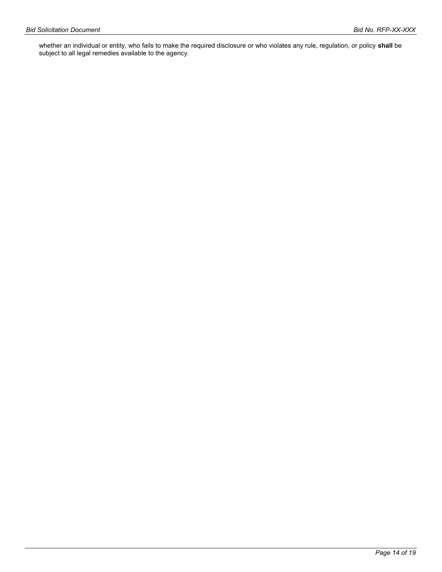whether an individual or entity, who fails to make the required disclosure or who violates any rule, regulation, or policy **shall** be subject to all legal remedies available to the agency.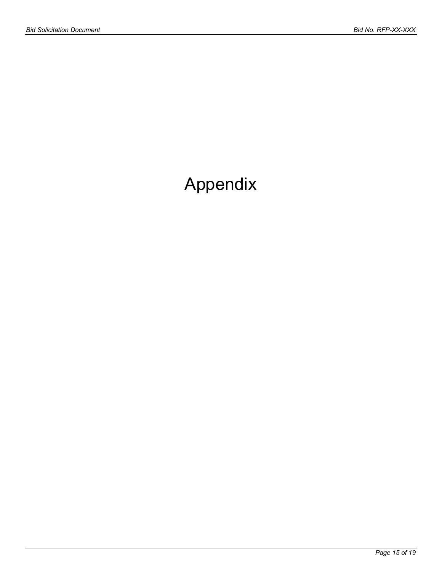# Appendix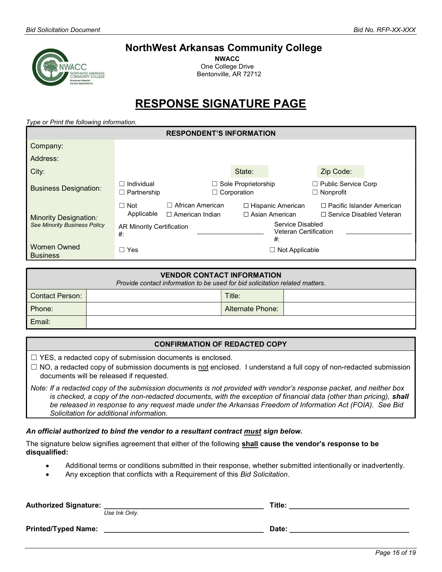## NorthWest Arkansas Community College

NWACC One College Drive Bentonville, AR 72712

## RESPONSE SIGNATURE PAGE

Type or Print the following information.

| <b>RESPONDENT'S INFORMATION</b>       |                                        |                                                 |                                                  |                                                           |                                                                     |  |
|---------------------------------------|----------------------------------------|-------------------------------------------------|--------------------------------------------------|-----------------------------------------------------------|---------------------------------------------------------------------|--|
| Company:                              |                                        |                                                 |                                                  |                                                           |                                                                     |  |
| Address:                              |                                        |                                                 |                                                  |                                                           |                                                                     |  |
| City:                                 |                                        |                                                 | State:                                           |                                                           | Zip Code:                                                           |  |
| <b>Business Designation:</b>          | Individual<br>$\Box$ Partnership       |                                                 | $\Box$ Sole Proprietorship<br>$\Box$ Corporation |                                                           | $\Box$ Public Service Corp<br>$\Box$ Nonprofit                      |  |
| <b>Minority Designation:</b>          | Not<br>П<br>Applicable                 | African American<br>П<br>$\Box$ American Indian |                                                  | $\Box$ Hispanic American<br>$\Box$ Asian American         | $\Box$ Pacific Islander American<br>$\Box$ Service Disabled Veteran |  |
| <b>See Minority Business Policy</b>   | <b>AR Minority Certification</b><br>#: |                                                 |                                                  | Service Disabled<br><b>Veteran Certification</b><br>$#$ : |                                                                     |  |
| <b>Women Owned</b><br><b>Business</b> | □ Yes                                  |                                                 |                                                  | $\Box$ Not Applicable                                     |                                                                     |  |

| <b>VENDOR CONTACT INFORMATION</b><br>Provide contact information to be used for bid solicitation related matters. |  |                  |  |
|-------------------------------------------------------------------------------------------------------------------|--|------------------|--|
| Contact Person:                                                                                                   |  | Title:           |  |
| Phone:                                                                                                            |  | Alternate Phone: |  |
| Email:                                                                                                            |  |                  |  |

#### CONFIRMATION OF REDACTED COPY

 $\Box$  YES, a redacted copy of submission documents is enclosed.

 $\Box$  NO, a redacted copy of submission documents is not enclosed. I understand a full copy of non-redacted submission documents will be released if requested.

Note: If a redacted copy of the submission documents is not provided with vendor's response packet, and neither box is checked, a copy of the non-redacted documents, with the exception of financial data (other than pricing), shall be released in response to any request made under the Arkansas Freedom of Information Act (FOIA). See Bid Solicitation for additional information.

#### An official authorized to bind the vendor to a resultant contract must sign below.

The signature below signifies agreement that either of the following shall cause the vendor's response to be disqualified:

- Additional terms or conditions submitted in their response, whether submitted intentionally or inadvertently.
- Any exception that conflicts with a Requirement of this Bid Solicitation.

| <b>Authorized Signature:</b> | Use Ink Only. | Title: |
|------------------------------|---------------|--------|
| <b>Printed/Typed Name:</b>   |               | Date:  |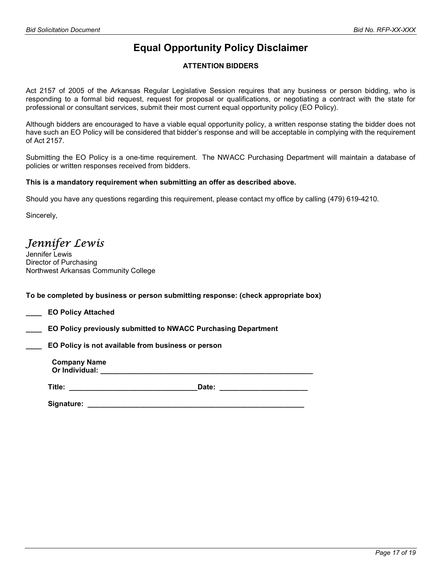## Equal Opportunity Policy Disclaimer

#### ATTENTION BIDDERS

Act 2157 of 2005 of the Arkansas Regular Legislative Session requires that any business or person bidding, who is responding to a formal bid request, request for proposal or qualifications, or negotiating a contract with the state for professional or consultant services, submit their most current equal opportunity policy (EO Policy).

Although bidders are encouraged to have a viable equal opportunity policy, a written response stating the bidder does not have such an EO Policy will be considered that bidder's response and will be acceptable in complying with the requirement of Act 2157.

Submitting the EO Policy is a one-time requirement. The NWACC Purchasing Department will maintain a database of policies or written responses received from bidders.

#### This is a mandatory requirement when submitting an offer as described above.

Should you have any questions regarding this requirement, please contact my office by calling (479) 619-4210.

Sincerely,

Jennifer Lewis

Jennifer Lewis Director of Purchasing Northwest Arkansas Community College

To be completed by business or person submitting response: (check appropriate box)

\_\_\_\_ EO Policy Attached

\_\_\_\_ EO Policy previously submitted to NWACC Purchasing Department

EO Policy is not available from business or person

Company Name Or Individual: **Example 20** and  $\overline{a}$  and  $\overline{b}$  and  $\overline{c}$  and  $\overline{c}$  and  $\overline{c}$  and  $\overline{c}$  and  $\overline{c}$  and  $\overline{c}$  and  $\overline{c}$  and  $\overline{c}$  and  $\overline{c}$  and  $\overline{c}$  and  $\overline{c}$  and  $\overline{c}$  and  $\overline{c}$ 

Title: \_\_\_\_\_\_\_\_\_\_\_\_\_\_\_\_\_\_\_\_\_\_\_\_\_\_\_\_\_\_\_\_Date: \_\_\_\_\_\_\_\_\_\_\_\_\_\_\_\_\_\_\_\_\_\_

Signature: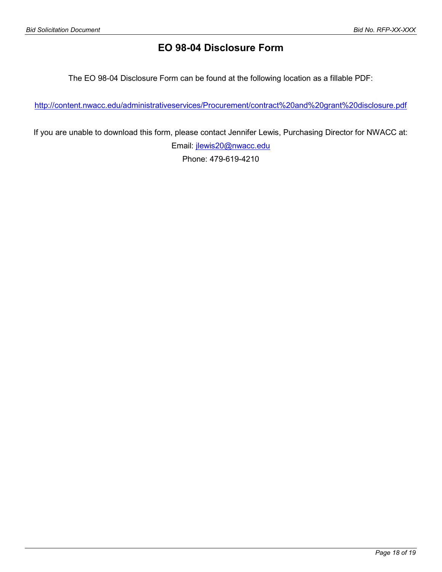## EO 98-04 Disclosure Form

The EO 98-04 Disclosure Form can be found at the following location as a fillable PDF:

http://content.nwacc.edu/administrativeservices/Procurement/contract%20and%20grant%20disclosure.pdf

If you are unable to download this form, please contact Jennifer Lewis, Purchasing Director for NWACC at: Email: jlewis20@nwacc.edu

Phone: 479-619-4210